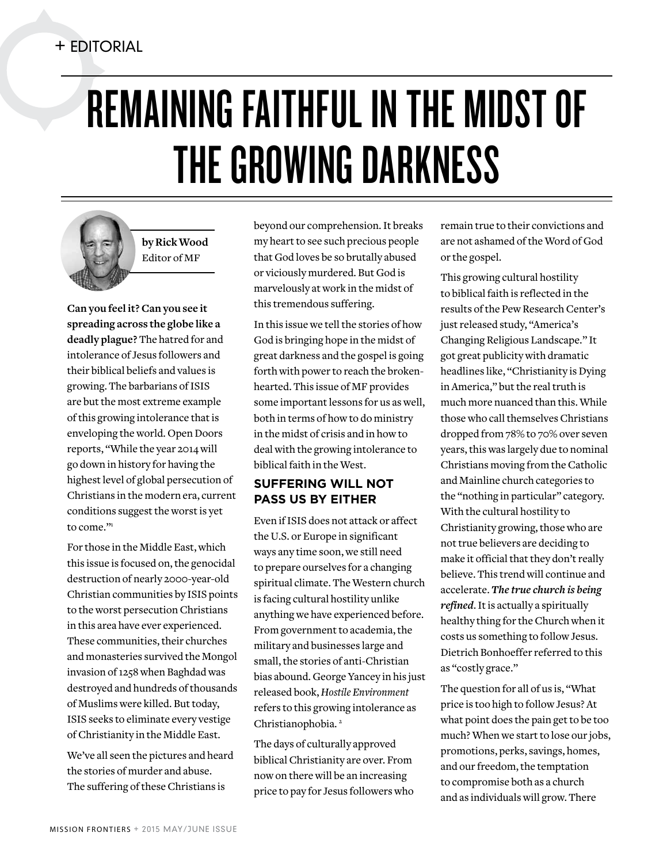## REMAINING FAITHFUL IN THE MIDST OF THE GROWING DARKNESS



**by Rick Wood** Editor of MF

**Can you feel it? Can you see it spreading across the globe like a deadly plague?** The hatred for and intolerance of Jesus followers and their biblical beliefs and values is growing. The barbarians of ISIS are but the most extreme example of this growing intolerance that is enveloping the world. Open Doors reports, "While the year 2014 will go down in history for having the highest level of global persecution of Christians in the modern era, current conditions suggest the worst is yet to come."1

For those in the Middle East, which this issue is focused on, the genocidal destruction of nearly 2000-year-old Christian communities by ISIS points to the worst persecution Christians in this area have ever experienced. These communities, their churches and monasteries survived the Mongol invasion of 1258 when Baghdad was destroyed and hundreds of thousands of Muslims were killed. But today, ISIS seeks to eliminate every vestige of Christianity in the Middle East.

We've all seen the pictures and heard the stories of murder and abuse. The suffering of these Christians is

beyond our comprehension. It breaks my heart to see such precious people that God loves be so brutally abused or viciously murdered. But God is marvelously at work in the midst of this tremendous suffering.

In this issue we tell the stories of how God is bringing hope in the midst of great darkness and the gospel is going forth with power to reach the brokenhearted. This issue of MF provides some important lessons for us as well, both in terms of how to do ministry in the midst of crisis and in how to deal with the growing intolerance to biblical faith in the West.

## **SUFFERING WILL NOT PASS US BY EITHER**

Even if ISIS does not attack or affect the U.S. or Europe in significant ways any time soon, we still need to prepare ourselves for a changing spiritual climate. The Western church is facing cultural hostility unlike anything we have experienced before. From government to academia, the military and businesses large and small, the stories of anti-Christian bias abound. George Yancey in his just released book, *Hostile Environment* refers to this growing intolerance as Christianophobia.<sup>2</sup>

The days of culturally approved biblical Christianity are over. From now on there will be an increasing price to pay for Jesus followers who remain true to their convictions and are not ashamed of the Word of God or the gospel.

This growing cultural hostility to biblical faith is reflected in the results of the Pew Research Center's just released study, "America's Changing Religious Landscape." It got great publicity with dramatic headlines like, "Christianity is Dying in America," but the real truth is much more nuanced than this. While those who call themselves Christians dropped from 78% to 70% over seven years, this was largely due to nominal Christians moving from the Catholic and Mainline church categories to the "nothing in particular" category. With the cultural hostility to Christianity growing, those who are not true believers are deciding to make it official that they don't really believe. This trend will continue and accelerate. *The true church is being refined*. It is actually a spiritually healthy thing for the Church when it costs us something to follow Jesus. Dietrich Bonhoeffer referred to this as "costly grace."

The question for all of us is, "What price is too high to follow Jesus? At what point does the pain get to be too much? When we start to lose our jobs, promotions, perks, savings, homes, and our freedom, the temptation to compromise both as a church and as individuals will grow. There